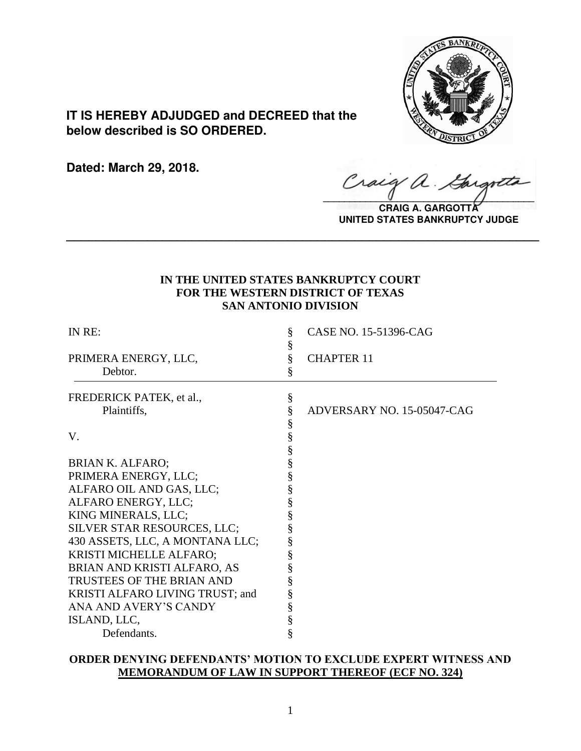

**IT IS HEREBY ADJUDGED and DECREED that the below described is SO ORDERED.**

**Dated: March 29, 2018.**

Craig a.

**CRAIG A. GARGOTTA UNITED STATES BANKRUPTCY JUDGE**

# **IN THE UNITED STATES BANKRUPTCY COURT FOR THE WESTERN DISTRICT OF TEXAS SAN ANTONIO DIVISION**

**\_\_\_\_\_\_\_\_\_\_\_\_\_\_\_\_\_\_\_\_\_\_\_\_\_\_\_\_\_\_\_\_\_\_\_\_\_\_\_\_\_\_\_\_\_\_\_\_\_\_\_\_\_\_\_\_\_\_\_\_\_\_\_\_**

| IN RE:                          | §<br>§      | CASE NO. 15-51396-CAG      |
|---------------------------------|-------------|----------------------------|
| PRIMERA ENERGY, LLC,            | §           | <b>CHAPTER 11</b>          |
| Debtor.                         | §           |                            |
| FREDERICK PATEK, et al.,        | $\S$        |                            |
| Plaintiffs,                     | §           | ADVERSARY NO. 15-05047-CAG |
|                                 |             |                            |
| V.                              | §<br>§<br>§ |                            |
|                                 |             |                            |
| <b>BRIAN K. ALFARO;</b>         | §           |                            |
| PRIMERA ENERGY, LLC;            | §           |                            |
| ALFARO OIL AND GAS, LLC;        | §           |                            |
| ALFARO ENERGY, LLC;             | §           |                            |
| KING MINERALS, LLC;             | §           |                            |
| SILVER STAR RESOURCES, LLC;     | §           |                            |
| 430 ASSETS, LLC, A MONTANA LLC; | §           |                            |
| KRISTI MICHELLE ALFARO;         | §           |                            |
| BRIAN AND KRISTI ALFARO, AS     | §           |                            |
| TRUSTEES OF THE BRIAN AND       | §           |                            |
| KRISTI ALFARO LIVING TRUST; and |             |                            |
| ANA AND AVERY'S CANDY           | §<br>§      |                            |
| ISLAND, LLC,                    | §           |                            |
| Defendants.                     | §           |                            |
|                                 |             |                            |

# **ORDER DENYING DEFENDANTS' MOTION TO EXCLUDE EXPERT WITNESS AND MEMORANDUM OF LAW IN SUPPORT THEREOF (ECF NO. 324)**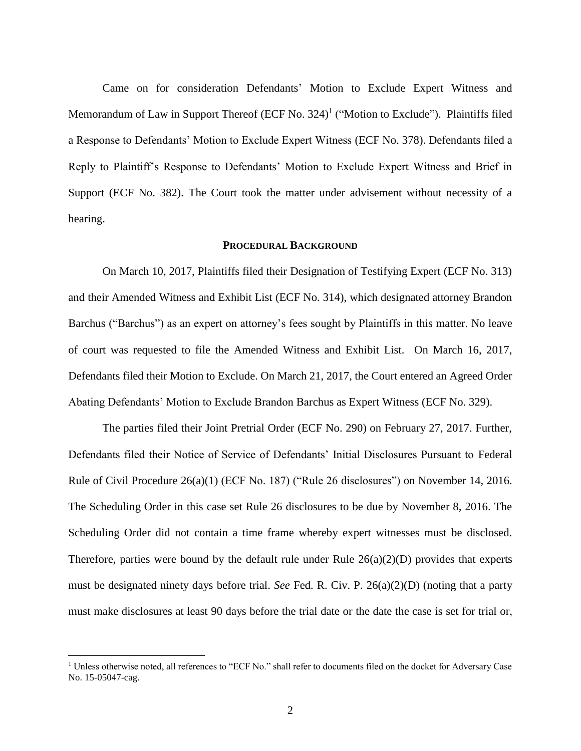Came on for consideration Defendants' Motion to Exclude Expert Witness and Memorandum of Law in Support Thereof (ECF No. 324)<sup>1</sup> ("Motion to Exclude"). Plaintiffs filed a Response to Defendants' Motion to Exclude Expert Witness (ECF No. 378). Defendants filed a Reply to Plaintiff's Response to Defendants' Motion to Exclude Expert Witness and Brief in Support (ECF No. 382). The Court took the matter under advisement without necessity of a hearing.

#### **PROCEDURAL BACKGROUND**

On March 10, 2017, Plaintiffs filed their Designation of Testifying Expert (ECF No. 313) and their Amended Witness and Exhibit List (ECF No. 314), which designated attorney Brandon Barchus ("Barchus") as an expert on attorney's fees sought by Plaintiffs in this matter. No leave of court was requested to file the Amended Witness and Exhibit List. On March 16, 2017, Defendants filed their Motion to Exclude. On March 21, 2017, the Court entered an Agreed Order Abating Defendants' Motion to Exclude Brandon Barchus as Expert Witness (ECF No. 329).

The parties filed their Joint Pretrial Order (ECF No. 290) on February 27, 2017. Further, Defendants filed their Notice of Service of Defendants' Initial Disclosures Pursuant to Federal Rule of Civil Procedure 26(a)(1) (ECF No. 187) ("Rule 26 disclosures") on November 14, 2016. The Scheduling Order in this case set Rule 26 disclosures to be due by November 8, 2016. The Scheduling Order did not contain a time frame whereby expert witnesses must be disclosed. Therefore, parties were bound by the default rule under Rule  $26(a)(2)(D)$  provides that experts must be designated ninety days before trial. *See* Fed. R. Civ. P. 26(a)(2)(D) (noting that a party must make disclosures at least 90 days before the trial date or the date the case is set for trial or,

 $\overline{a}$ 

<sup>&</sup>lt;sup>1</sup> Unless otherwise noted, all references to "ECF No." shall refer to documents filed on the docket for Adversary Case No. 15-05047-cag.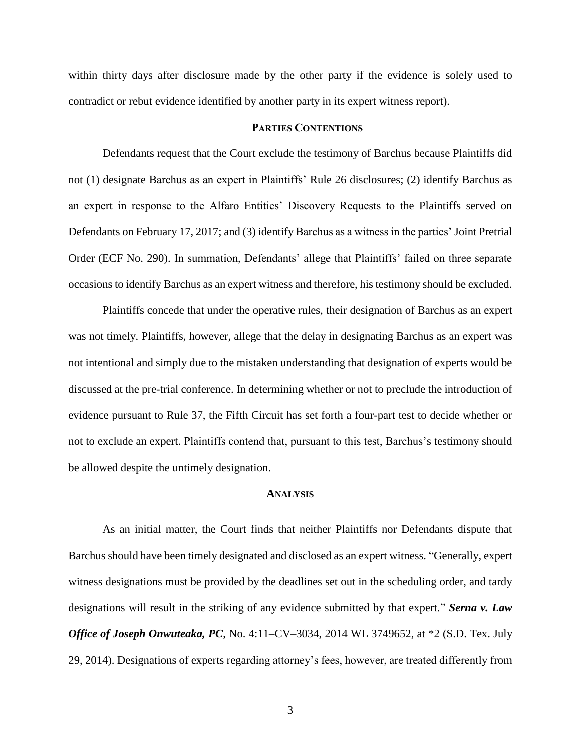within thirty days after disclosure made by the other party if the evidence is solely used to contradict or rebut evidence identified by another party in its expert witness report).

#### **PARTIES CONTENTIONS**

Defendants request that the Court exclude the testimony of Barchus because Plaintiffs did not (1) designate Barchus as an expert in Plaintiffs' Rule 26 disclosures; (2) identify Barchus as an expert in response to the Alfaro Entities' Discovery Requests to the Plaintiffs served on Defendants on February 17, 2017; and (3) identify Barchus as a witness in the parties' Joint Pretrial Order (ECF No. 290). In summation, Defendants' allege that Plaintiffs' failed on three separate occasions to identify Barchus as an expert witness and therefore, his testimony should be excluded.

Plaintiffs concede that under the operative rules, their designation of Barchus as an expert was not timely. Plaintiffs, however, allege that the delay in designating Barchus as an expert was not intentional and simply due to the mistaken understanding that designation of experts would be discussed at the pre-trial conference. In determining whether or not to preclude the introduction of evidence pursuant to Rule 37, the Fifth Circuit has set forth a four-part test to decide whether or not to exclude an expert. Plaintiffs contend that, pursuant to this test, Barchus's testimony should be allowed despite the untimely designation.

#### **ANALYSIS**

As an initial matter, the Court finds that neither Plaintiffs nor Defendants dispute that Barchus should have been timely designated and disclosed as an expert witness. "Generally, expert witness designations must be provided by the deadlines set out in the scheduling order, and tardy designations will result in the striking of any evidence submitted by that expert." *Serna v. Law Office of Joseph Onwuteaka, PC, No.* 4:11–CV–3034, 2014 WL 3749652, at \*2 (S.D. Tex. July 29, 2014). Designations of experts regarding attorney's fees, however, are treated differently from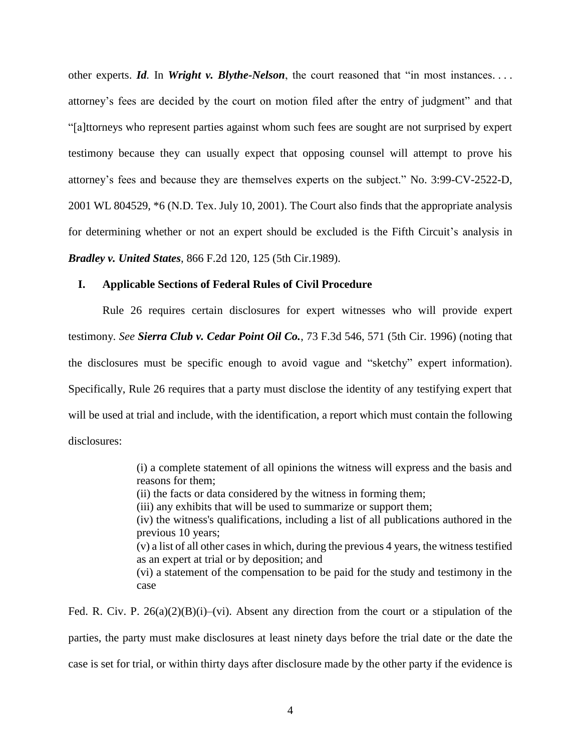other experts. *Id.* In *Wright v. Blythe-Nelson*, the court reasoned that "in most instances. . . . attorney's fees are decided by the court on motion filed after the entry of judgment" and that "[a]ttorneys who represent parties against whom such fees are sought are not surprised by expert testimony because they can usually expect that opposing counsel will attempt to prove his attorney's fees and because they are themselves experts on the subject." No. 3:99-CV-2522-D, 2001 WL 804529, \*6 (N.D. Tex. July 10, 2001). The Court also finds that the appropriate analysis for determining whether or not an expert should be excluded is the Fifth Circuit's analysis in *Bradley v. United States*, 866 F.2d 120, 125 (5th Cir.1989).

## **I. Applicable Sections of Federal Rules of Civil Procedure**

Rule 26 requires certain disclosures for expert witnesses who will provide expert testimony. *See Sierra Club v. Cedar Point Oil Co.*, 73 F.3d 546, 571 (5th Cir. 1996) (noting that the disclosures must be specific enough to avoid vague and "sketchy" expert information). Specifically, Rule 26 requires that a party must disclose the identity of any testifying expert that will be used at trial and include, with the identification, a report which must contain the following disclosures:

> (i) a complete statement of all opinions the witness will express and the basis and reasons for them;

- (ii) the facts or data considered by the witness in forming them;
- (iii) any exhibits that will be used to summarize or support them;

(iv) the witness's qualifications, including a list of all publications authored in the previous 10 years;

(v) a list of all other cases in which, during the previous 4 years, the witness testified as an expert at trial or by deposition; and

(vi) a statement of the compensation to be paid for the study and testimony in the case

Fed. R. Civ. P.  $26(a)(2)(B)(i)$ –(vi). Absent any direction from the court or a stipulation of the parties, the party must make disclosures at least ninety days before the trial date or the date the case is set for trial, or within thirty days after disclosure made by the other party if the evidence is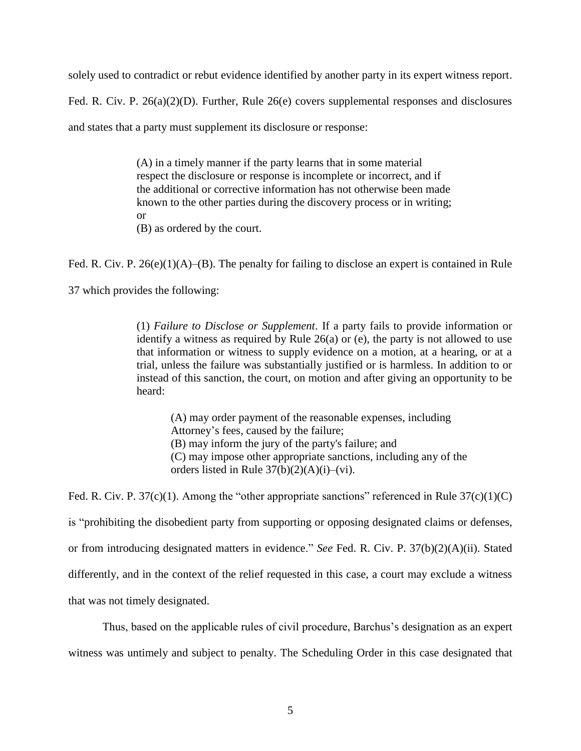solely used to contradict or rebut evidence identified by another party in its expert witness report.

Fed. R. Civ. P. 26(a)(2)(D). Further, Rule 26(e) covers supplemental responses and disclosures

and states that a party must supplement its disclosure or response:

(A) in a timely manner if the party learns that in some material respect the disclosure or response is incomplete or incorrect, and if the additional or corrective information has not otherwise been made known to the other parties during the discovery process or in writing; or (B) as ordered by the court.

Fed. R. Civ. P. 26(e)(1)(A)–(B). The penalty for failing to disclose an expert is contained in Rule

37 which provides the following:

(1) *Failure to Disclose or Supplement*. If a party fails to provide information or identify a witness as required by Rule 26(a) or (e), the party is not allowed to use that information or witness to supply evidence on a motion, at a hearing, or at a trial, unless the failure was substantially justified or is harmless. In addition to or instead of this sanction, the court, on motion and after giving an opportunity to be heard:

(A) may order payment of the reasonable expenses, including Attorney's fees, caused by the failure; (B) may inform the jury of the party's failure; and (C) may impose other appropriate sanctions, including any of the orders listed in Rule  $37(b)(2)(A)(i)$ –(vi).

Fed. R. Civ. P. 37(c)(1). Among the "other appropriate sanctions" referenced in Rule  $37(c)(1)(C)$ is "prohibiting the disobedient party from supporting or opposing designated claims or defenses, or from introducing designated matters in evidence." *See* Fed. R. Civ. P. 37(b)(2)(A)(ii). Stated differently, and in the context of the relief requested in this case, a court may exclude a witness that was not timely designated.

Thus, based on the applicable rules of civil procedure, Barchus's designation as an expert witness was untimely and subject to penalty. The Scheduling Order in this case designated that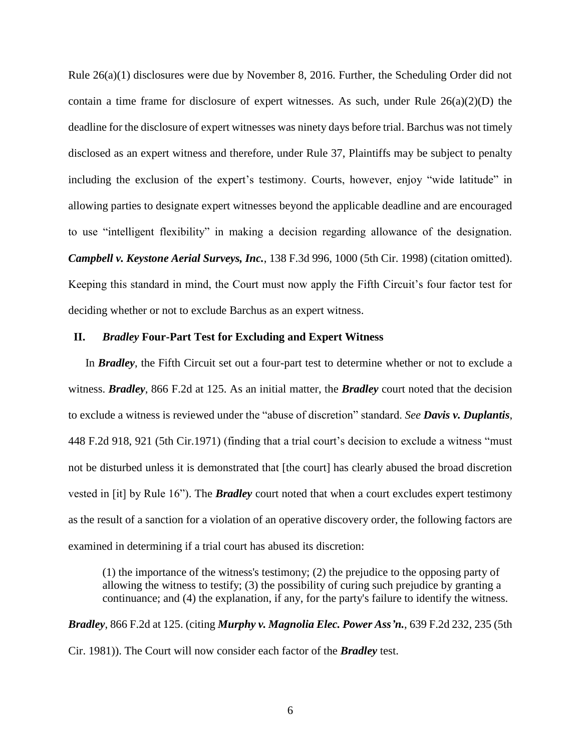Rule 26(a)(1) disclosures were due by November 8, 2016. Further, the Scheduling Order did not contain a time frame for disclosure of expert witnesses. As such, under Rule  $26(a)(2)(D)$  the deadline for the disclosure of expert witnesses was ninety days before trial. Barchus was not timely disclosed as an expert witness and therefore, under Rule 37, Plaintiffs may be subject to penalty including the exclusion of the expert's testimony. Courts, however, enjoy "wide latitude" in allowing parties to designate expert witnesses beyond the applicable deadline and are encouraged to use "intelligent flexibility" in making a decision regarding allowance of the designation. *Campbell v. Keystone Aerial Surveys, Inc.*, 138 F.3d 996, 1000 (5th Cir. 1998) (citation omitted). Keeping this standard in mind, the Court must now apply the Fifth Circuit's four factor test for deciding whether or not to exclude Barchus as an expert witness.

#### **II.** *Bradley* **Four-Part Test for Excluding and Expert Witness**

In *Bradley*, the Fifth Circuit set out a four-part test to determine whether or not to exclude a witness. *Bradley*, 866 F.2d at 125. As an initial matter, the *Bradley* court noted that the decision to exclude a witness is reviewed under the "abuse of discretion" standard. *See Davis v. Duplantis*, 448 F.2d 918, 921 (5th Cir.1971) (finding that a trial court's decision to exclude a witness "must not be disturbed unless it is demonstrated that [the court] has clearly abused the broad discretion vested in [it] by Rule 16"). The *Bradley* court noted that when a court excludes expert testimony as the result of a sanction for a violation of an operative discovery order, the following factors are examined in determining if a trial court has abused its discretion:

(1) the importance of the witness's testimony; (2) the prejudice to the opposing party of allowing the witness to testify; (3) the possibility of curing such prejudice by granting a continuance; and (4) the explanation, if any, for the party's failure to identify the witness.

*Bradley*, 866 F.2d at 125. (citing *Murphy v. Magnolia Elec. Power Ass'n.*, 639 F.2d 232, 235 (5th Cir. 1981)). The Court will now consider each factor of the *Bradley* test.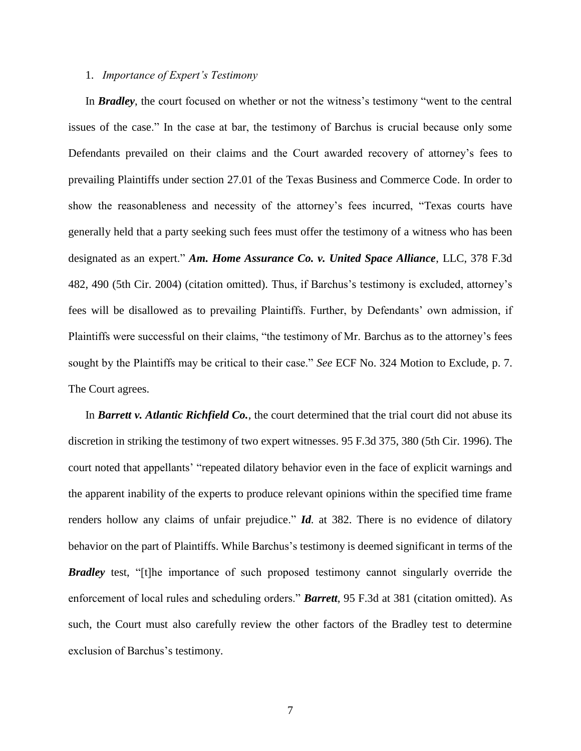## 1. *Importance of Expert's Testimony*

In *Bradley*, the court focused on whether or not the witness's testimony "went to the central issues of the case." In the case at bar, the testimony of Barchus is crucial because only some Defendants prevailed on their claims and the Court awarded recovery of attorney's fees to prevailing Plaintiffs under section 27.01 of the Texas Business and Commerce Code. In order to show the reasonableness and necessity of the attorney's fees incurred, "Texas courts have generally held that a party seeking such fees must offer the testimony of a witness who has been designated as an expert." *Am. Home Assurance Co. v. United Space Alliance*, LLC, 378 F.3d 482, 490 (5th Cir. 2004) (citation omitted). Thus, if Barchus's testimony is excluded, attorney's fees will be disallowed as to prevailing Plaintiffs. Further, by Defendants' own admission, if Plaintiffs were successful on their claims, "the testimony of Mr. Barchus as to the attorney's fees sought by the Plaintiffs may be critical to their case." *See* ECF No. 324 Motion to Exclude, p. 7. The Court agrees.

In *Barrett v. Atlantic Richfield Co.*, the court determined that the trial court did not abuse its discretion in striking the testimony of two expert witnesses. 95 F.3d 375, 380 (5th Cir. 1996). The court noted that appellants' "repeated dilatory behavior even in the face of explicit warnings and the apparent inability of the experts to produce relevant opinions within the specified time frame renders hollow any claims of unfair prejudice." *Id.* at 382. There is no evidence of dilatory behavior on the part of Plaintiffs. While Barchus's testimony is deemed significant in terms of the *Bradley* test, "[t]he importance of such proposed testimony cannot singularly override the enforcement of local rules and scheduling orders." *Barrett*, 95 F.3d at 381 (citation omitted). As such, the Court must also carefully review the other factors of the Bradley test to determine exclusion of Barchus's testimony.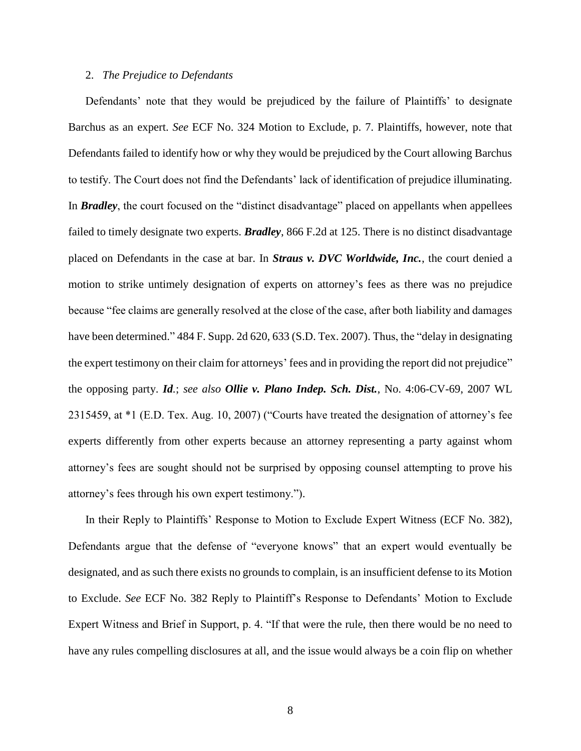# 2. *The Prejudice to Defendants*

Defendants' note that they would be prejudiced by the failure of Plaintiffs' to designate Barchus as an expert. *See* ECF No. 324 Motion to Exclude, p. 7. Plaintiffs, however, note that Defendants failed to identify how or why they would be prejudiced by the Court allowing Barchus to testify. The Court does not find the Defendants' lack of identification of prejudice illuminating. In *Bradley*, the court focused on the "distinct disadvantage" placed on appellants when appellees failed to timely designate two experts. *Bradley*, 866 F.2d at 125. There is no distinct disadvantage placed on Defendants in the case at bar. In *Straus v. DVC Worldwide, Inc.*, the court denied a motion to strike untimely designation of experts on attorney's fees as there was no prejudice because "fee claims are generally resolved at the close of the case, after both liability and damages have been determined." 484 F. Supp. 2d 620, 633 (S.D. Tex. 2007). Thus, the "delay in designating the expert testimony on their claim for attorneys' fees and in providing the report did not prejudice" the opposing party. *Id.*; *see also Ollie v. Plano Indep. Sch. Dist.*, No. 4:06-CV-69, 2007 WL 2315459, at \*1 (E.D. Tex. Aug. 10, 2007) ("Courts have treated the designation of attorney's fee experts differently from other experts because an attorney representing a party against whom attorney's fees are sought should not be surprised by opposing counsel attempting to prove his attorney's fees through his own expert testimony.").

In their Reply to Plaintiffs' Response to Motion to Exclude Expert Witness (ECF No. 382), Defendants argue that the defense of "everyone knows" that an expert would eventually be designated, and as such there exists no grounds to complain, is an insufficient defense to its Motion to Exclude. *See* ECF No. 382 Reply to Plaintiff's Response to Defendants' Motion to Exclude Expert Witness and Brief in Support, p. 4. "If that were the rule, then there would be no need to have any rules compelling disclosures at all, and the issue would always be a coin flip on whether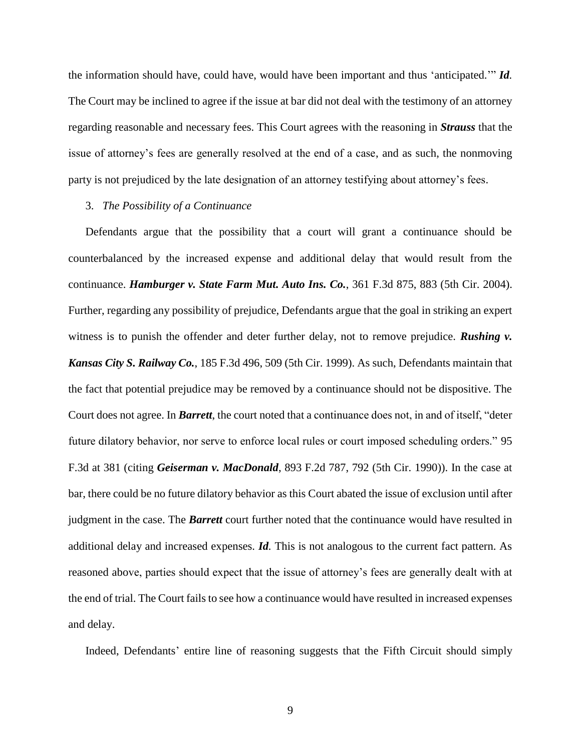the information should have, could have, would have been important and thus 'anticipated.'" *Id.*  The Court may be inclined to agree if the issue at bar did not deal with the testimony of an attorney regarding reasonable and necessary fees. This Court agrees with the reasoning in *Strauss* that the issue of attorney's fees are generally resolved at the end of a case, and as such, the nonmoving party is not prejudiced by the late designation of an attorney testifying about attorney's fees.

## 3. *The Possibility of a Continuance*

Defendants argue that the possibility that a court will grant a continuance should be counterbalanced by the increased expense and additional delay that would result from the continuance. *Hamburger v. State Farm Mut. Auto Ins. Co.*, 361 F.3d 875, 883 (5th Cir. 2004). Further, regarding any possibility of prejudice, Defendants argue that the goal in striking an expert witness is to punish the offender and deter further delay, not to remove prejudice. **Rushing v.** *Kansas City S. Railway Co.*, 185 F.3d 496, 509 (5th Cir. 1999). As such, Defendants maintain that the fact that potential prejudice may be removed by a continuance should not be dispositive. The Court does not agree. In *Barrett*, the court noted that a continuance does not, in and of itself, "deter future dilatory behavior, nor serve to enforce local rules or court imposed scheduling orders." 95 F.3d at 381 (citing *Geiserman v. MacDonald*, 893 F.2d 787, 792 (5th Cir. 1990)). In the case at bar, there could be no future dilatory behavior as this Court abated the issue of exclusion until after judgment in the case. The *Barrett* court further noted that the continuance would have resulted in additional delay and increased expenses. *Id.* This is not analogous to the current fact pattern. As reasoned above, parties should expect that the issue of attorney's fees are generally dealt with at the end of trial. The Court fails to see how a continuance would have resulted in increased expenses and delay.

Indeed, Defendants' entire line of reasoning suggests that the Fifth Circuit should simply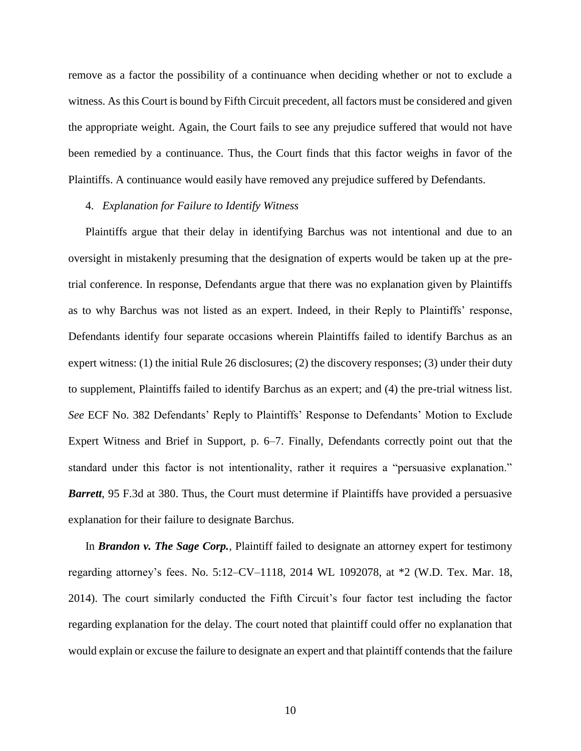remove as a factor the possibility of a continuance when deciding whether or not to exclude a witness. As this Court is bound by Fifth Circuit precedent, all factors must be considered and given the appropriate weight. Again, the Court fails to see any prejudice suffered that would not have been remedied by a continuance. Thus, the Court finds that this factor weighs in favor of the Plaintiffs. A continuance would easily have removed any prejudice suffered by Defendants.

# 4. *Explanation for Failure to Identify Witness*

Plaintiffs argue that their delay in identifying Barchus was not intentional and due to an oversight in mistakenly presuming that the designation of experts would be taken up at the pretrial conference. In response, Defendants argue that there was no explanation given by Plaintiffs as to why Barchus was not listed as an expert. Indeed, in their Reply to Plaintiffs' response, Defendants identify four separate occasions wherein Plaintiffs failed to identify Barchus as an expert witness: (1) the initial Rule 26 disclosures; (2) the discovery responses; (3) under their duty to supplement, Plaintiffs failed to identify Barchus as an expert; and (4) the pre-trial witness list. *See* ECF No. 382 Defendants' Reply to Plaintiffs' Response to Defendants' Motion to Exclude Expert Witness and Brief in Support, p. 6–7. Finally, Defendants correctly point out that the standard under this factor is not intentionality, rather it requires a "persuasive explanation." *Barrett*, 95 F.3d at 380. Thus, the Court must determine if Plaintiffs have provided a persuasive explanation for their failure to designate Barchus.

In *Brandon v. The Sage Corp.*, Plaintiff failed to designate an attorney expert for testimony regarding attorney's fees. No. 5:12–CV–1118, 2014 WL 1092078, at \*2 (W.D. Tex. Mar. 18, 2014). The court similarly conducted the Fifth Circuit's four factor test including the factor regarding explanation for the delay. The court noted that plaintiff could offer no explanation that would explain or excuse the failure to designate an expert and that plaintiff contends that the failure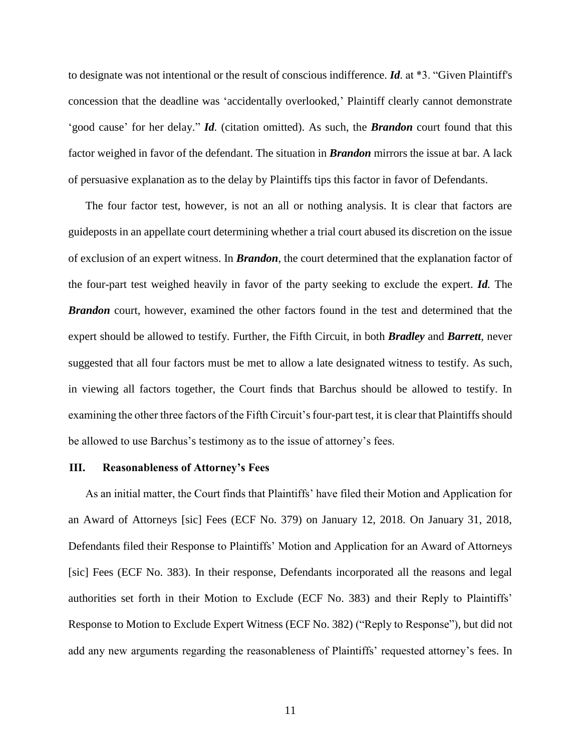to designate was not intentional or the result of conscious indifference. *Id.* at \*3. "Given Plaintiff's concession that the deadline was 'accidentally overlooked,' Plaintiff clearly cannot demonstrate 'good cause' for her delay." *Id.* (citation omitted). As such, the *Brandon* court found that this factor weighed in favor of the defendant. The situation in *Brandon* mirrors the issue at bar. A lack of persuasive explanation as to the delay by Plaintiffs tips this factor in favor of Defendants.

The four factor test, however, is not an all or nothing analysis. It is clear that factors are guideposts in an appellate court determining whether a trial court abused its discretion on the issue of exclusion of an expert witness. In *Brandon*, the court determined that the explanation factor of the four-part test weighed heavily in favor of the party seeking to exclude the expert. *Id.* The *Brandon* court, however, examined the other factors found in the test and determined that the expert should be allowed to testify. Further, the Fifth Circuit, in both *Bradley* and *Barrett*, never suggested that all four factors must be met to allow a late designated witness to testify. As such, in viewing all factors together, the Court finds that Barchus should be allowed to testify. In examining the other three factors of the Fifth Circuit's four-part test, it is clear that Plaintiffs should be allowed to use Barchus's testimony as to the issue of attorney's fees.

#### **III. Reasonableness of Attorney's Fees**

As an initial matter, the Court finds that Plaintiffs' have filed their Motion and Application for an Award of Attorneys [sic] Fees (ECF No. 379) on January 12, 2018. On January 31, 2018, Defendants filed their Response to Plaintiffs' Motion and Application for an Award of Attorneys [sic] Fees (ECF No. 383). In their response, Defendants incorporated all the reasons and legal authorities set forth in their Motion to Exclude (ECF No. 383) and their Reply to Plaintiffs' Response to Motion to Exclude Expert Witness (ECF No. 382) ("Reply to Response"), but did not add any new arguments regarding the reasonableness of Plaintiffs' requested attorney's fees. In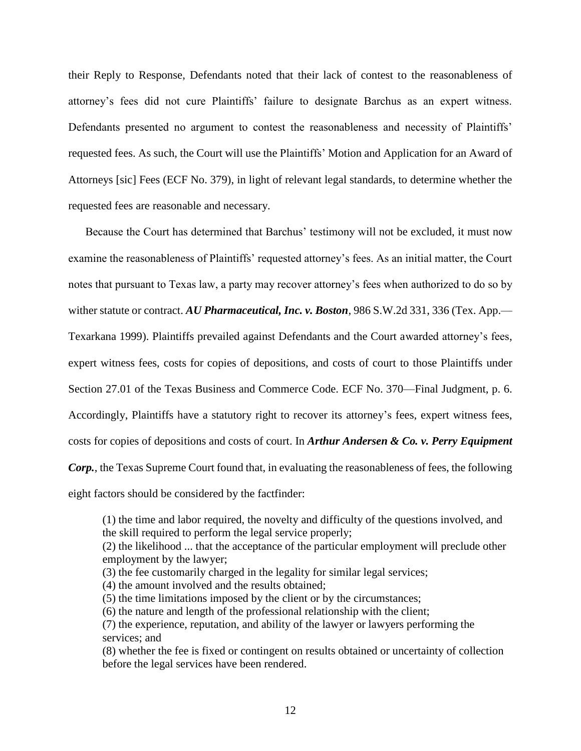their Reply to Response, Defendants noted that their lack of contest to the reasonableness of attorney's fees did not cure Plaintiffs' failure to designate Barchus as an expert witness. Defendants presented no argument to contest the reasonableness and necessity of Plaintiffs' requested fees. As such, the Court will use the Plaintiffs' Motion and Application for an Award of Attorneys [sic] Fees (ECF No. 379), in light of relevant legal standards, to determine whether the requested fees are reasonable and necessary.

Because the Court has determined that Barchus' testimony will not be excluded, it must now examine the reasonableness of Plaintiffs' requested attorney's fees. As an initial matter, the Court notes that pursuant to Texas law, a party may recover attorney's fees when authorized to do so by wither statute or contract. *AU Pharmaceutical, Inc. v. Boston*, 986 S.W.2d 331, 336 (Tex. App.— Texarkana 1999). Plaintiffs prevailed against Defendants and the Court awarded attorney's fees, expert witness fees, costs for copies of depositions, and costs of court to those Plaintiffs under Section 27.01 of the Texas Business and Commerce Code. ECF No. 370—Final Judgment, p. 6. Accordingly, Plaintiffs have a statutory right to recover its attorney's fees, expert witness fees, costs for copies of depositions and costs of court. In *Arthur Andersen & Co. v. Perry Equipment Corp.*, the Texas Supreme Court found that, in evaluating the reasonableness of fees, the following eight factors should be considered by the factfinder:

(1) the time and labor required, the novelty and difficulty of the questions involved, and the skill required to perform the legal service properly; (2) the likelihood ... that the acceptance of the particular employment will preclude other employment by the lawyer; (3) the fee customarily charged in the legality for similar legal services; (4) the amount involved and the results obtained; (5) the time limitations imposed by the client or by the circumstances; (6) the nature and length of the professional relationship with the client; (7) the experience, reputation, and ability of the lawyer or lawyers performing the services; and (8) whether the fee is fixed or contingent on results obtained or uncertainty of collection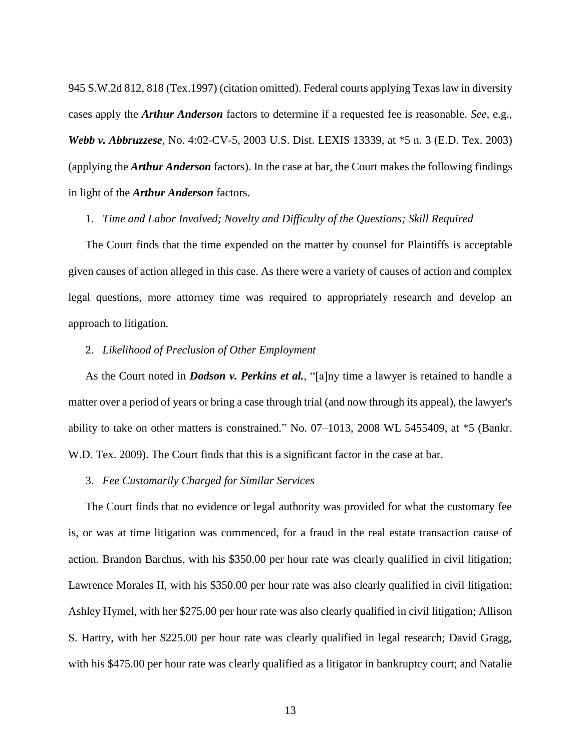945 S.W.2d 812, 818 (Tex.1997) (citation omitted). Federal courts applying Texas law in diversity cases apply the *Arthur Anderson* factors to determine if a requested fee is reasonable. *See*, e.g., *Webb v. Abbruzzese*, No. 4:02-CV-5, 2003 U.S. Dist. LEXIS 13339, at \*5 n. 3 (E.D. Tex. 2003) (applying the *Arthur Anderson* factors). In the case at bar, the Court makes the following findings in light of the *Arthur Anderson* factors.

#### 1. *Time and Labor Involved; Novelty and Difficulty of the Questions; Skill Required*

The Court finds that the time expended on the matter by counsel for Plaintiffs is acceptable given causes of action alleged in this case. As there were a variety of causes of action and complex legal questions, more attorney time was required to appropriately research and develop an approach to litigation.

# 2. *Likelihood of Preclusion of Other Employment*

As the Court noted in *Dodson v. Perkins et al.*, "[a]ny time a lawyer is retained to handle a matter over a period of years or bring a case through trial (and now through its appeal), the lawyer's ability to take on other matters is constrained." No. 07–1013, 2008 WL 5455409, at \*5 (Bankr. W.D. Tex. 2009). The Court finds that this is a significant factor in the case at bar.

#### 3. *Fee Customarily Charged for Similar Services*

The Court finds that no evidence or legal authority was provided for what the customary fee is, or was at time litigation was commenced, for a fraud in the real estate transaction cause of action. Brandon Barchus, with his \$350.00 per hour rate was clearly qualified in civil litigation; Lawrence Morales II, with his \$350.00 per hour rate was also clearly qualified in civil litigation; Ashley Hymel, with her \$275.00 per hour rate was also clearly qualified in civil litigation; Allison S. Hartry, with her \$225.00 per hour rate was clearly qualified in legal research; David Gragg, with his \$475.00 per hour rate was clearly qualified as a litigator in bankruptcy court; and Natalie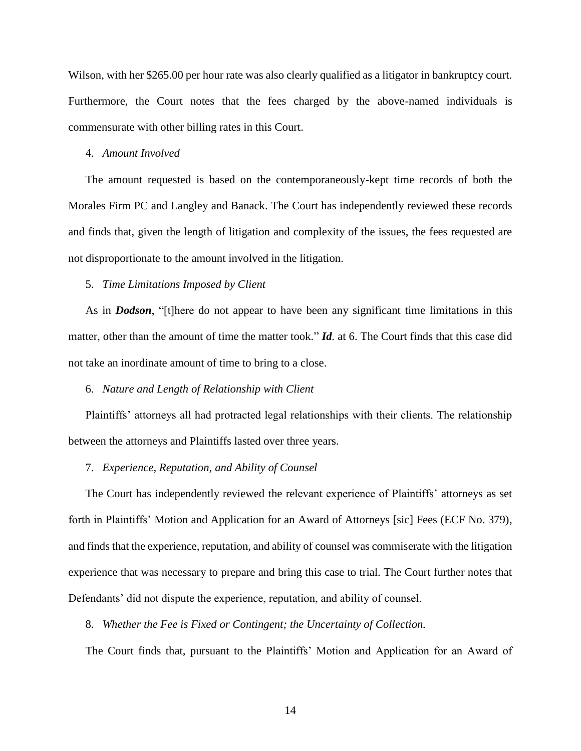Wilson, with her \$265.00 per hour rate was also clearly qualified as a litigator in bankruptcy court. Furthermore, the Court notes that the fees charged by the above-named individuals is commensurate with other billing rates in this Court.

#### 4. *Amount Involved*

The amount requested is based on the contemporaneously-kept time records of both the Morales Firm PC and Langley and Banack. The Court has independently reviewed these records and finds that, given the length of litigation and complexity of the issues, the fees requested are not disproportionate to the amount involved in the litigation.

## 5. *Time Limitations Imposed by Client*

As in *Dodson*, "[t]here do not appear to have been any significant time limitations in this matter, other than the amount of time the matter took." *Id.* at 6. The Court finds that this case did not take an inordinate amount of time to bring to a close.

#### 6. *Nature and Length of Relationship with Client*

Plaintiffs' attorneys all had protracted legal relationships with their clients. The relationship between the attorneys and Plaintiffs lasted over three years.

#### 7. *Experience, Reputation, and Ability of Counsel*

The Court has independently reviewed the relevant experience of Plaintiffs' attorneys as set forth in Plaintiffs' Motion and Application for an Award of Attorneys [sic] Fees (ECF No. 379), and finds that the experience, reputation, and ability of counsel was commiserate with the litigation experience that was necessary to prepare and bring this case to trial. The Court further notes that Defendants' did not dispute the experience, reputation, and ability of counsel.

# 8. *Whether the Fee is Fixed or Contingent; the Uncertainty of Collection.*

The Court finds that, pursuant to the Plaintiffs' Motion and Application for an Award of